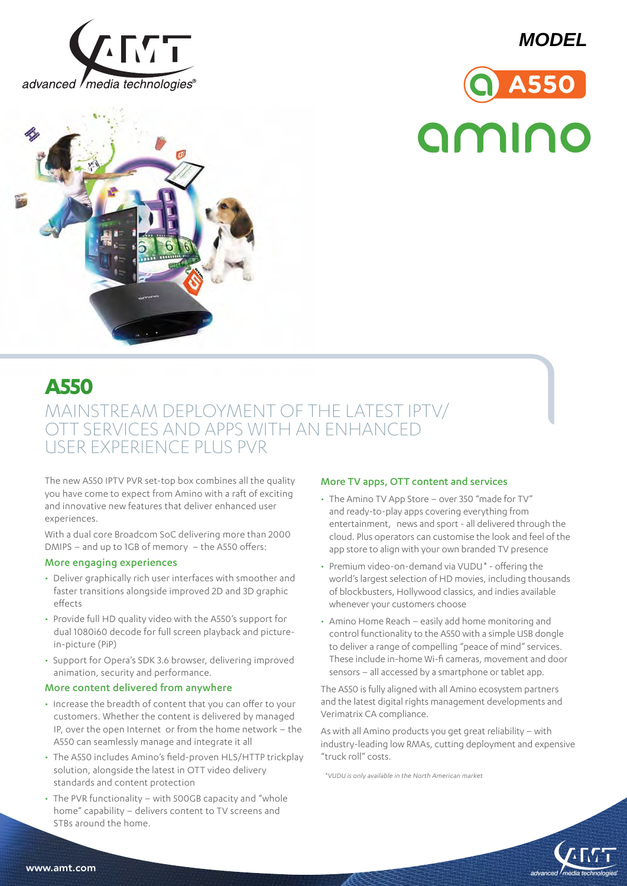

*MODEL*

# A550 amino



# **A550**

# Mainstream deployment of the latest IPTV/ OTT services and apps with an enhanced user experience plus PVR

The new A550 IPTV PVR set-top box combines all the quality you have come to expect from Amino with a raft of exciting and innovative new features that deliver enhanced user experiences.

With a dual core Broadcom SoC delivering more than 2000 DMIPS – and up to 1GB of memory – the A550 offers:

#### More engaging experiences

- Deliver graphically rich user interfaces with smoother and faster transitions alongside improved 2D and 3D graphic effects
- Provide full HD quality video with the A550's support for dual 1080i60 decode for full screen playback and picturein-picture (PiP)
- Support for Opera's SDK 3.6 browser, delivering improved animation, security and performance.

#### More content delivered from anywhere

- Increase the breadth of content that you can offer to your customers. Whether the content is delivered by managed IP, over the open Internet or from the home network – the A550 can seamlessly manage and integrate it all
- The A550 includes Amino's field-proven HLS/HTTP trickplay solution, alongside the latest in OTT video delivery standards and content protection
- The PVR functionality with 500GB capacity and "whole home" capability – delivers content to TV screens and STBs around the home.

#### More TV apps, OTT content and services

- The Amino TV App Store over 350 "made for TV" and ready-to-play apps covering everything from entertainment, news and sport - all delivered through the cloud. Plus operators can customise the look and feel of the app store to align with your own branded TV presence
- Premium video-on-demand via VUDU\* offering the world's largest selection of HD movies, including thousands of blockbusters, Hollywood classics, and indies available whenever your customers choose
- Amino Home Reach easily add home monitoring and control functionality to the A550 with a simple USB dongle to deliver a range of compelling "peace of mind" services. These include in-home Wi-fi cameras, movement and door sensors – all accessed by a smartphone or tablet app.

The A550 is fully aligned with all Amino ecosystem partners and the latest digital rights management developments and Verimatrix CA compliance.

As with all Amino products you get great reliability – with industry-leading low RMAs, cutting deployment and expensive "truck roll" costs.

*\*VUDU is only available in the North American market*